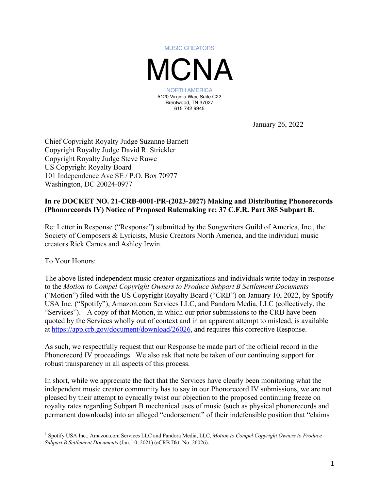

MCNA NORTH AMERICA 5120 Virginia Way, Suite C22 Brentwood, TN 37027 615 742 9945

January 26, 2022

Chief Copyright Royalty Judge Suzanne Barnett Copyright Royalty Judge David R. Strickler Copyright Royalty Judge Steve Ruwe US Copyright Royalty Board 101 Independence Ave SE / P.O. Box 70977 Washington, DC 20024-0977

## **In re DOCKET NO. 21-CRB-0001-PR-(2023-2027) Making and Distributing Phonorecords (Phonorecords IV) Notice of Proposed Rulemaking re: 37 C.F.R. Part 385 Subpart B.**

Re: Letter in Response ("Response") submitted by the Songwriters Guild of America, Inc., the Society of Composers & Lyricists, Music Creators North America, and the individual music creators Rick Carnes and Ashley Irwin.

To Your Honors:

The above listed independent music creator organizations and individuals write today in response to the *Motion to Compel Copyright Owners to Produce Subpart B Settlement Documents* ("Motion") filed with the US Copyright Royalty Board ("CRB") on January 10, 2022, by Spotify USA Inc. ("Spotify"), Amazon.com Services LLC, and Pandora Media, LLC (collectively, the "Services").<sup>1</sup> A copy of that Motion, in which our prior submissions to the CRB have been quoted by the Services wholly out of context and in an apparent attempt to mislead, is available at https://app.crb.gov/document/download/26026, and requires this corrective Response.

As such, we respectfully request that our Response be made part of the official record in the Phonorecord IV proceedings. We also ask that note be taken of our continuing support for robust transparency in all aspects of this process.

In short, while we appreciate the fact that the Services have clearly been monitoring what the independent music creator community has to say in our Phonorecord IV submissions, we are not pleased by their attempt to cynically twist our objection to the proposed continuing freeze on royalty rates regarding Subpart B mechanical uses of music (such as physical phonorecords and permanent downloads) into an alleged "endorsement" of their indefensible position that "claims

<sup>1</sup> Spotify USA Inc., Amazon.com Services LLC and Pandora Media, LLC, *Motion to Compel Copyright Owners to Produce Subpart B Settlement Documents* (Jan. 10, 2021) (eCRB Dkt. No. 26026).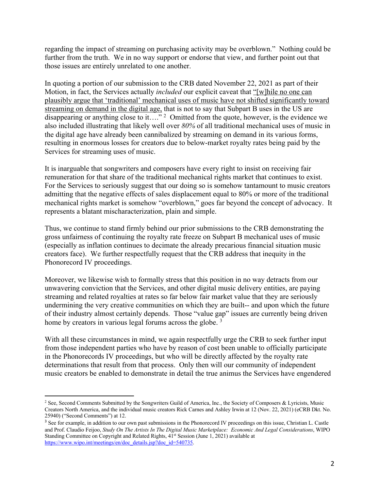regarding the impact of streaming on purchasing activity may be overblown." Nothing could be further from the truth. We in no way support or endorse that view, and further point out that those issues are entirely unrelated to one another.

In quoting a portion of our submission to the CRB dated November 22, 2021 as part of their Motion, in fact, the Services actually *included* our explicit caveat that "[w]hile no one can plausibly argue that 'traditional' mechanical uses of music have not shifted significantly toward streaming on demand in the digital age, that is not to say that Subpart B uses in the US are disappearing or anything close to it…." <sup>2</sup> Omitted from the quote, however, is the evidence we also included illustrating that likely well over *80%* of all traditional mechanical uses of music in the digital age have already been cannibalized by streaming on demand in its various forms, resulting in enormous losses for creators due to below-market royalty rates being paid by the Services for streaming uses of music.

It is inarguable that songwriters and composers have every right to insist on receiving fair remuneration for that share of the traditional mechanical rights market that continues to exist. For the Services to seriously suggest that our doing so is somehow tantamount to music creators admitting that the negative effects of sales displacement equal to 80% or more of the traditional mechanical rights market is somehow "overblown," goes far beyond the concept of advocacy. It represents a blatant mischaracterization, plain and simple.

Thus, we continue to stand firmly behind our prior submissions to the CRB demonstrating the gross unfairness of continuing the royalty rate freeze on Subpart B mechanical uses of music (especially as inflation continues to decimate the already precarious financial situation music creators face). We further respectfully request that the CRB address that inequity in the Phonorecord IV proceedings.

Moreover, we likewise wish to formally stress that this position in no way detracts from our unwavering conviction that the Services, and other digital music delivery entities, are paying streaming and related royalties at rates so far below fair market value that they are seriously undermining the very creative communities on which they are built-- and upon which the future of their industry almost certainly depends. Those "value gap" issues are currently being driven home by creators in various legal forums across the globe.<sup>3</sup>

With all these circumstances in mind, we again respectfully urge the CRB to seek further input from those independent parties who have by reason of cost been unable to officially participate in the Phonorecords IV proceedings, but who will be directly affected by the royalty rate determinations that result from that process. Only then will our community of independent music creators be enabled to demonstrate in detail the true animus the Services have engendered

<sup>&</sup>lt;sup>2</sup> See, Second Comments Submitted by the Songwriters Guild of America, Inc., the Society of Composers & Lyricists, Music Creators North America, and the individual music creators Rick Carnes and Ashley Irwin at 12 (Nov. 22, 2021) (eCRB Dkt. No. 25940) ("Second Comments") at 12.

<sup>&</sup>lt;sup>3</sup> See for example, in addition to our own past submissions in the Phonorecord IV proceedings on this issue, Christian L. Castle and Prof. Claudio Feijoo, *Study On The Artists In The Digital Music Marketplace: Economic And Legal Considerations*, WIPO Standing Committee on Copyright and Related Rights, 41st Session (June 1, 2021) available at https://www.wipo.int/meetings/en/doc\_details.jsp?doc\_id=540735.